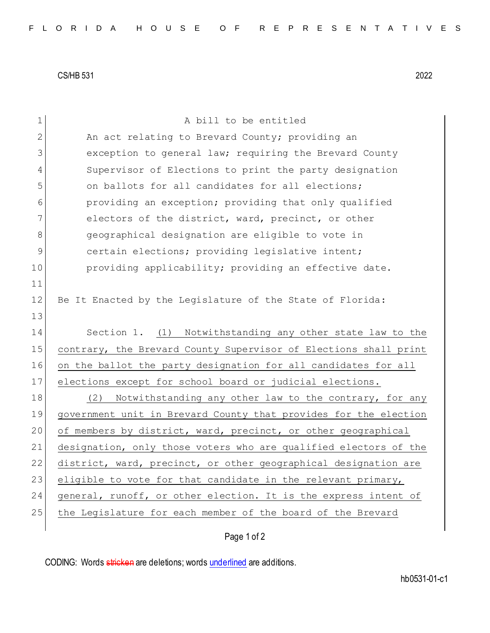CS/HB 531 2022

| $\mathbf 1$   | A bill to be entitled                                            |
|---------------|------------------------------------------------------------------|
| 2             | An act relating to Brevard County; providing an                  |
| 3             | exception to general law; requiring the Brevard County           |
| 4             | Supervisor of Elections to print the party designation           |
| 5             | on ballots for all candidates for all elections;                 |
| 6             | providing an exception; providing that only qualified            |
| 7             | electors of the district, ward, precinct, or other               |
| 8             | geographical designation are eligible to vote in                 |
| $\mathcal{G}$ | certain elections; providing legislative intent;                 |
| 10            | providing applicability; providing an effective date.            |
| 11            |                                                                  |
| 12            | Be It Enacted by the Legislature of the State of Florida:        |
| 13            |                                                                  |
| 14            | Section 1. (1) Notwithstanding any other state law to the        |
| 15            | contrary, the Brevard County Supervisor of Elections shall print |
| 16            | on the ballot the party designation for all candidates for all   |
| 17            | elections except for school board or judicial elections.         |
| 18            | (2)<br>Notwithstanding any other law to the contrary, for any    |
| 19            | government unit in Brevard County that provides for the election |
| 20            | of members by district, ward, precinct, or other geographical    |
| 21            | designation, only those voters who are qualified electors of the |
| 22            | district, ward, precinct, or other geographical designation are  |
| 23            | eligible to vote for that candidate in the relevant primary,     |
| 24            | general, runoff, or other election. It is the express intent of  |
| 25            | the Legislature for each member of the board of the Brevard      |
|               |                                                                  |

Page 1 of 2

CODING: Words stricken are deletions; words underlined are additions.